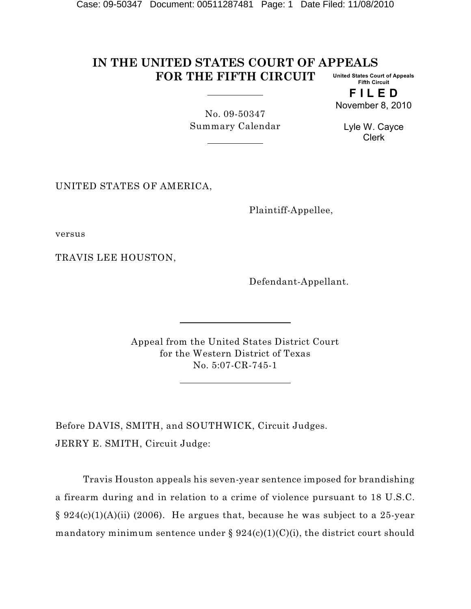#### **IN THE UNITED STATES COURT OF APPEALS FOR THE FIFTH CIRCUIT United States Court of Appeals Fifth Circuit**

**F I L E D** November 8, 2010

No. 09-50347 Summary Calendar

Lyle W. Cayce Clerk

UNITED STATES OF AMERICA,

Plaintiff-Appellee,

versus

TRAVIS LEE HOUSTON,

Defendant-Appellant.

Appeal from the United States District Court for the Western District of Texas No. 5:07-CR-745-1

Before DAVIS, SMITH, and SOUTHWICK, Circuit Judges. JERRY E. SMITH, Circuit Judge:

Travis Houston appeals his seven-year sentence imposed for brandishing a firearm during and in relation to a crime of violence pursuant to 18 U.S.C. § 924(c)(1)(A)(ii) (2006). He argues that, because he was subject to a 25-year mandatory minimum sentence under §  $924(c)(1)(C)(i)$ , the district court should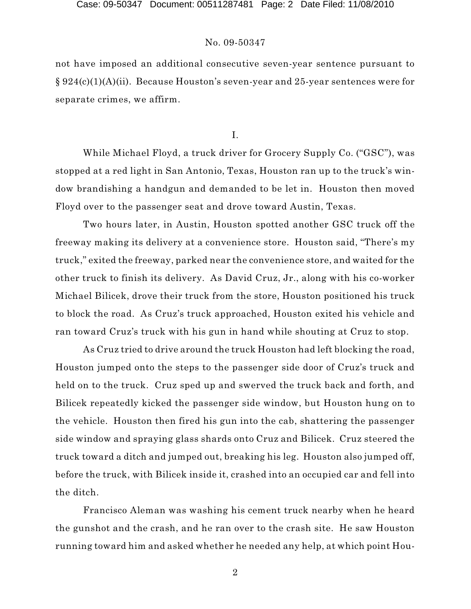not have imposed an additional consecutive seven-year sentence pursuant to § 924(c)(1)(A)(ii). Because Houston's seven-year and 25-year sentences were for separate crimes, we affirm.

I.

While Michael Floyd, a truck driver for Grocery Supply Co. ("GSC"), was stopped at a red light in San Antonio, Texas, Houston ran up to the truck's window brandishing a handgun and demanded to be let in. Houston then moved Floyd over to the passenger seat and drove toward Austin, Texas.

Two hours later, in Austin, Houston spotted another GSC truck off the freeway making its delivery at a convenience store. Houston said, "There's my truck," exited the freeway, parked near the convenience store, and waited for the other truck to finish its delivery. As David Cruz, Jr., along with his co-worker Michael Bilicek, drove their truck from the store, Houston positioned his truck to block the road. As Cruz's truck approached, Houston exited his vehicle and ran toward Cruz's truck with his gun in hand while shouting at Cruz to stop.

As Cruz tried to drive around the truck Houston had left blocking the road, Houston jumped onto the steps to the passenger side door of Cruz's truck and held on to the truck. Cruz sped up and swerved the truck back and forth, and Bilicek repeatedly kicked the passenger side window, but Houston hung on to the vehicle. Houston then fired his gun into the cab, shattering the passenger side window and spraying glass shards onto Cruz and Bilicek. Cruz steered the truck toward a ditch and jumped out, breaking his leg. Houston also jumped off, before the truck, with Bilicek inside it, crashed into an occupied car and fell into the ditch.

Francisco Aleman was washing his cement truck nearby when he heard the gunshot and the crash, and he ran over to the crash site. He saw Houston running toward him and asked whether he needed any help, at which point Hou-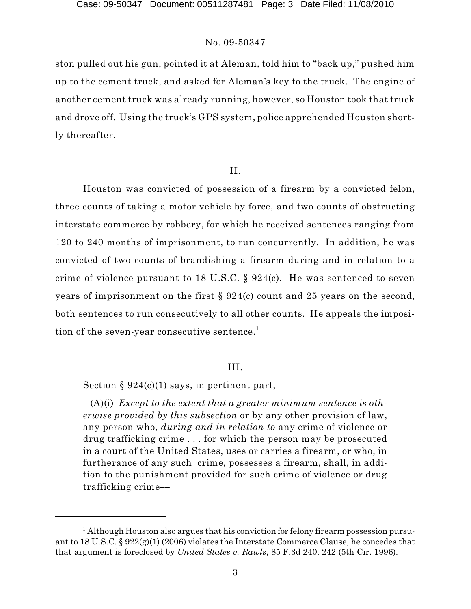ston pulled out his gun, pointed it at Aleman, told him to "back up," pushed him up to the cement truck, and asked for Aleman's key to the truck. The engine of another cement truck was already running, however, so Houston took that truck and drove off. Using the truck's GPS system, police apprehended Houston shortly thereafter.

## II.

Houston was convicted of possession of a firearm by a convicted felon, three counts of taking a motor vehicle by force, and two counts of obstructing interstate commerce by robbery, for which he received sentences ranging from 120 to 240 months of imprisonment, to run concurrently. In addition, he was convicted of two counts of brandishing a firearm during and in relation to a crime of violence pursuant to 18 U.S.C.  $\S 924(c)$ . He was sentenced to seven years of imprisonment on the first § 924(c) count and 25 years on the second, both sentences to run consecutively to all other counts. He appeals the imposition of the seven-year consecutive sentence. 1

#### III.

Section  $\S 924(c)(1)$  says, in pertinent part,

(A)(i) *Except to the extent that a greater minimum sentence is otherwise provided by this subsection* or by any other provision of law, any person who, *during and in relation to* any crime of violence or drug trafficking crime . . . for which the person may be prosecuted in a court of the United States, uses or carries a firearm, or who, in furtherance of any such crime, possesses a firearm, shall, in addition to the punishment provided for such crime of violence or drug trafficking crime--

<sup>&</sup>lt;sup>1</sup> Although Houston also argues that his conviction for felony firearm possession pursuant to 18 U.S.C. § 922(g)(1) (2006) violates the Interstate Commerce Clause, he concedes that that argument is foreclosed by *United States v. Rawls*, 85 F.3d 240, 242 (5th Cir. 1996).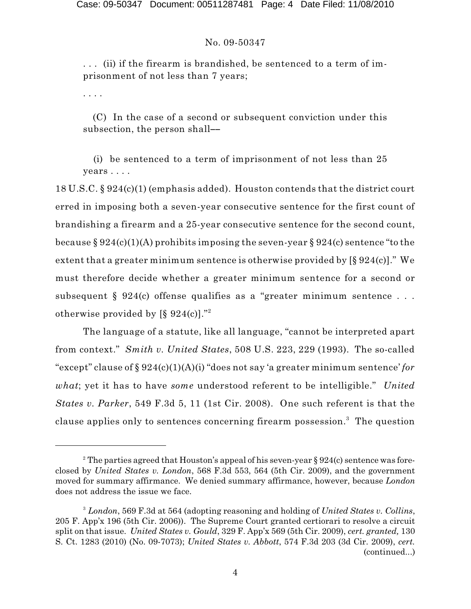Case: 09-50347 Document: 00511287481 Page: 4 Date Filed: 11/08/2010

#### No. 09-50347

. . . (ii) if the firearm is brandished, be sentenced to a term of imprisonment of not less than 7 years;

. . . .

(C) In the case of a second or subsequent conviction under this subsection, the person shall--

(i) be sentenced to a term of imprisonment of not less than 25 years . . . .

18 U.S.C. § 924(c)(1) (emphasis added). Houston contends that the district court erred in imposing both a seven-year consecutive sentence for the first count of brandishing a firearm and a 25-year consecutive sentence for the second count, because § 924(c)(1)(A) prohibits imposing the seven-year § 924(c) sentence "to the extent that a greater minimum sentence is otherwise provided by [§ 924(c)]." We must therefore decide whether a greater minimum sentence for a second or subsequent § 924(c) offense qualifies as a "greater minimum sentence... otherwise provided by [§ 924(c)]."2

The language of a statute, like all language, "cannot be interpreted apart from context." *Smith v. United States*, 508 U.S. 223, 229 (1993). The so-called "except" clause of § 924(c)(1)(A)(i) "does not say 'a greater minimum sentence' *for what*; yet it has to have *some* understood referent to be intelligible." *United States v. Parker*, 549 F.3d 5, 11 (1st Cir. 2008). One such referent is that the clause applies only to sentences concerning firearm possession.<sup>3</sup> The question

<sup>&</sup>lt;sup>2</sup> The parties agreed that Houston's appeal of his seven-year § 924(c) sentence was foreclosed by *United States v. London*, 568 F.3d 553, 564 (5th Cir. 2009), and the government moved for summary affirmance. We denied summary affirmance, however, because *London* does not address the issue we face.

*London*, 569 F.3d at 564 (adopting reasoning and holding of *United States v. Collins*, 3 205 F. App'x 196 (5th Cir. 2006)). The Supreme Court granted certiorari to resolve a circuit split on that issue. *United States v. Gould*, 329 F. App'x 569 (5th Cir. 2009), *cert. granted,* 130 S. Ct. 1283 (2010) (No. 09-7073); *United States v. Abbott*, 574 F.3d 203 (3d Cir. 2009), *cert.* (continued...)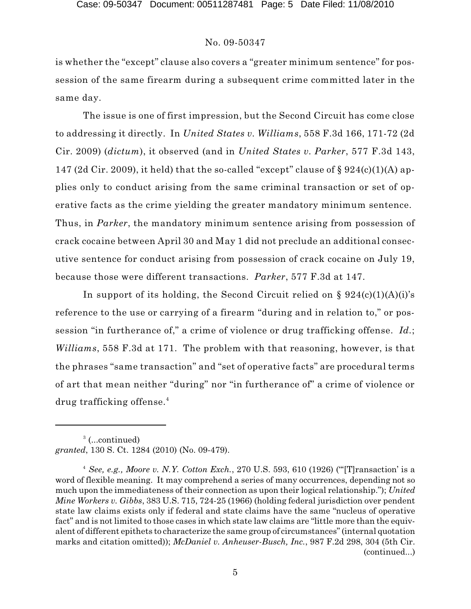is whether the "except" clause also covers a "greater minimum sentence" for possession of the same firearm during a subsequent crime committed later in the same day.

The issue is one of first impression, but the Second Circuit has come close to addressing it directly. In *United States v. Williams*, 558 F.3d 166, 171-72 (2d Cir. 2009) (*dictum*), it observed (and in *United States v. Parker*, 577 F.3d 143, 147 (2d Cir. 2009), it held) that the so-called "except" clause of  $\S 924(c)(1)(A)$  applies only to conduct arising from the same criminal transaction or set of operative facts as the crime yielding the greater mandatory minimum sentence. Thus, in *Parker*, the mandatory minimum sentence arising from possession of crack cocaine between April 30 and May 1 did not preclude an additional consecutive sentence for conduct arising from possession of crack cocaine on July 19, because those were different transactions. *Parker*, 577 F.3d at 147.

In support of its holding, the Second Circuit relied on  $\S 924(c)(1)(A)(i)$ 's reference to the use or carrying of a firearm "during and in relation to," or possession "in furtherance of," a crime of violence or drug trafficking offense. *Id.*; *Williams*, 558 F.3d at 171. The problem with that reasoning, however, is that the phrases "same transaction" and "set of operative facts" are procedural terms of art that mean neither "during" nor "in furtherance of" a crime of violence or drug trafficking offense. 4

<sup>3</sup> (...continued) *granted*, 130 S. Ct. 1284 (2010) (No. 09-479).

*See, e.g., Moore v. N.Y. Cotton Exch.*, 270 U.S. 593, 610 (1926) ("'[T]ransaction' is a 4 word of flexible meaning. It may comprehend a series of many occurrences, depending not so much upon the immediateness of their connection as upon their logical relationship."); *United Mine Workers v. Gibbs*, 383 U.S. 715, 724-25 (1966) (holding federal jurisdiction over pendent state law claims exists only if federal and state claims have the same "nucleus of operative fact" and is not limited to those cases in which state law claims are "little more than the equivalent of different epithets to characterize the same group of circumstances"(internal quotation marks and citation omitted)); *McDaniel v. Anheuser-Busch, Inc.*, 987 F.2d 298, 304 (5th Cir. (continued...)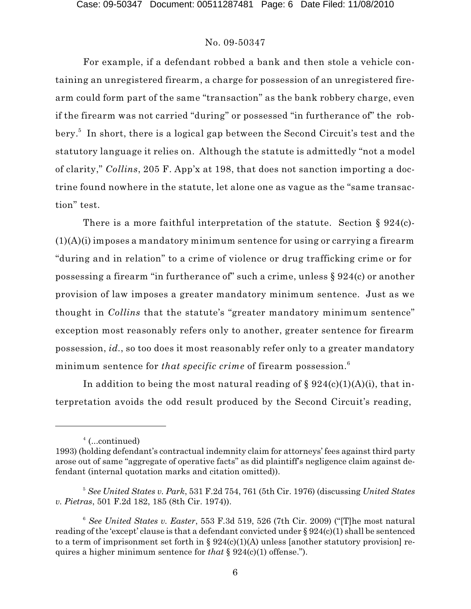For example, if a defendant robbed a bank and then stole a vehicle containing an unregistered firearm, a charge for possession of an unregistered firearm could form part of the same "transaction" as the bank robbery charge, even if the firearm was not carried "during" or possessed "in furtherance of" the robbery.<sup>5</sup> In short, there is a logical gap between the Second Circuit's test and the statutory language it relies on. Although the statute is admittedly "not a model of clarity," *Collins*, 205 F. App'x at 198, that does not sanction importing a doctrine found nowhere in the statute, let alone one as vague as the "same transaction" test.

There is a more faithful interpretation of the statute. Section § 924(c)- $(1)(A)(i)$  imposes a mandatory minimum sentence for using or carrying a firearm "during and in relation" to a crime of violence or drug trafficking crime or for possessing a firearm "in furtherance of" such a crime, unless § 924(c) or another provision of law imposes a greater mandatory minimum sentence. Just as we thought in *Collins* that the statute's "greater mandatory minimum sentence" exception most reasonably refers only to another, greater sentence for firearm possession, *id.*, so too does it most reasonably refer only to a greater mandatory minimum sentence for *that specific crime* of firearm possession. 6

In addition to being the most natural reading of  $\S 924(c)(1)(A)(i)$ , that interpretation avoids the odd result produced by the Second Circuit's reading,

<sup>&</sup>lt;sup>4</sup> (...continued)

<sup>1993)</sup> (holding defendant's contractual indemnity claim for attorneys' fees against third party arose out of same "aggregate of operative facts" as did plaintiff's negligence claim against defendant (internal quotation marks and citation omitted)).

*See United States v. Park*, 531 F.2d 754, 761 (5th Cir. 1976) (discussing *United States* <sup>5</sup> *v. Pietras*, 501 F.2d 182, 185 (8th Cir. 1974)).

*See United States v. Easter*, 553 F.3d 519, 526 (7th Cir. 2009) ("[T]he most natural <sup>6</sup> reading of the 'except' clause is that a defendant convicted under § 924(c)(1) shall be sentenced to a term of imprisonment set forth in  $\S 924(c)(1)(A)$  unless [another statutory provision] requires a higher minimum sentence for *that* § 924(c)(1) offense.").